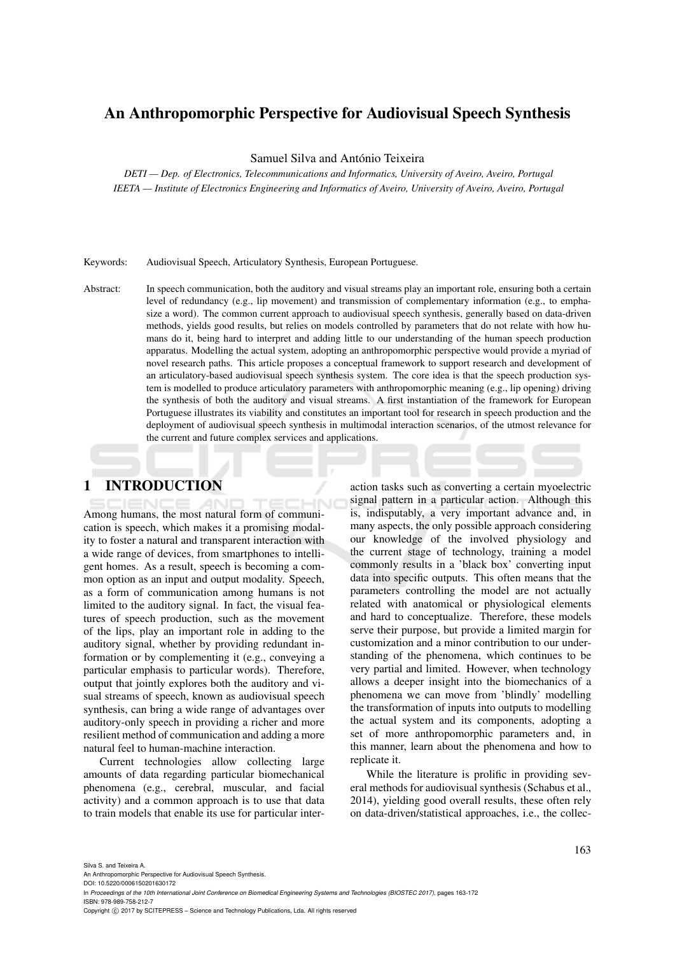# An Anthropomorphic Perspective for Audiovisual Speech Synthesis

Samuel Silva and António Teixeira

*DETI — Dep. of Electronics, Telecommunications and Informatics, University of Aveiro, Aveiro, Portugal IEETA — Institute of Electronics Engineering and Informatics of Aveiro, University of Aveiro, Aveiro, Portugal*

Keywords: Audiovisual Speech, Articulatory Synthesis, European Portuguese.

Abstract: In speech communication, both the auditory and visual streams play an important role, ensuring both a certain level of redundancy (e.g., lip movement) and transmission of complementary information (e.g., to emphasize a word). The common current approach to audiovisual speech synthesis, generally based on data-driven methods, yields good results, but relies on models controlled by parameters that do not relate with how humans do it, being hard to interpret and adding little to our understanding of the human speech production apparatus. Modelling the actual system, adopting an anthropomorphic perspective would provide a myriad of novel research paths. This article proposes a conceptual framework to support research and development of an articulatory-based audiovisual speech synthesis system. The core idea is that the speech production system is modelled to produce articulatory parameters with anthropomorphic meaning (e.g., lip opening) driving the synthesis of both the auditory and visual streams. A first instantiation of the framework for European Portuguese illustrates its viability and constitutes an important tool for research in speech production and the deployment of audiovisual speech synthesis in multimodal interaction scenarios, of the utmost relevance for the current and future complex services and applications.

# 1 INTRODUCTION

Among humans, the most natural form of communication is speech, which makes it a promising modality to foster a natural and transparent interaction with a wide range of devices, from smartphones to intelligent homes. As a result, speech is becoming a common option as an input and output modality. Speech, as a form of communication among humans is not limited to the auditory signal. In fact, the visual features of speech production, such as the movement of the lips, play an important role in adding to the auditory signal, whether by providing redundant information or by complementing it (e.g., conveying a particular emphasis to particular words). Therefore, output that jointly explores both the auditory and visual streams of speech, known as audiovisual speech synthesis, can bring a wide range of advantages over auditory-only speech in providing a richer and more resilient method of communication and adding a more natural feel to human-machine interaction.

Current technologies allow collecting large amounts of data regarding particular biomechanical phenomena (e.g., cerebral, muscular, and facial activity) and a common approach is to use that data to train models that enable its use for particular interaction tasks such as converting a certain myoelectric signal pattern in a particular action. Although this is, indisputably, a very important advance and, in many aspects, the only possible approach considering our knowledge of the involved physiology and the current stage of technology, training a model commonly results in a 'black box' converting input data into specific outputs. This often means that the parameters controlling the model are not actually related with anatomical or physiological elements and hard to conceptualize. Therefore, these models serve their purpose, but provide a limited margin for customization and a minor contribution to our understanding of the phenomena, which continues to be very partial and limited. However, when technology allows a deeper insight into the biomechanics of a phenomena we can move from 'blindly' modelling the transformation of inputs into outputs to modelling the actual system and its components, adopting a set of more anthropomorphic parameters and, in this manner, learn about the phenomena and how to replicate it.

While the literature is prolific in providing several methods for audiovisual synthesis (Schabus et al., 2014), yielding good overall results, these often rely on data-driven/statistical approaches, i.e., the collec-

Silva S. and Teixeira A.

An Anthropomorphic Perspective for Audiovisual Speech Synthesis. DOI: 10.5220/0006150201630172

In *Proceedings of the 10th International Joint Conference on Biomedical Engineering Systems and Technologies (BIOSTEC 2017)*, pages 163-172 ISBN: 978-989-758-212-7

Copyright (C) 2017 by SCITEPRESS - Science and Technology Publications, Lda. All rights reserved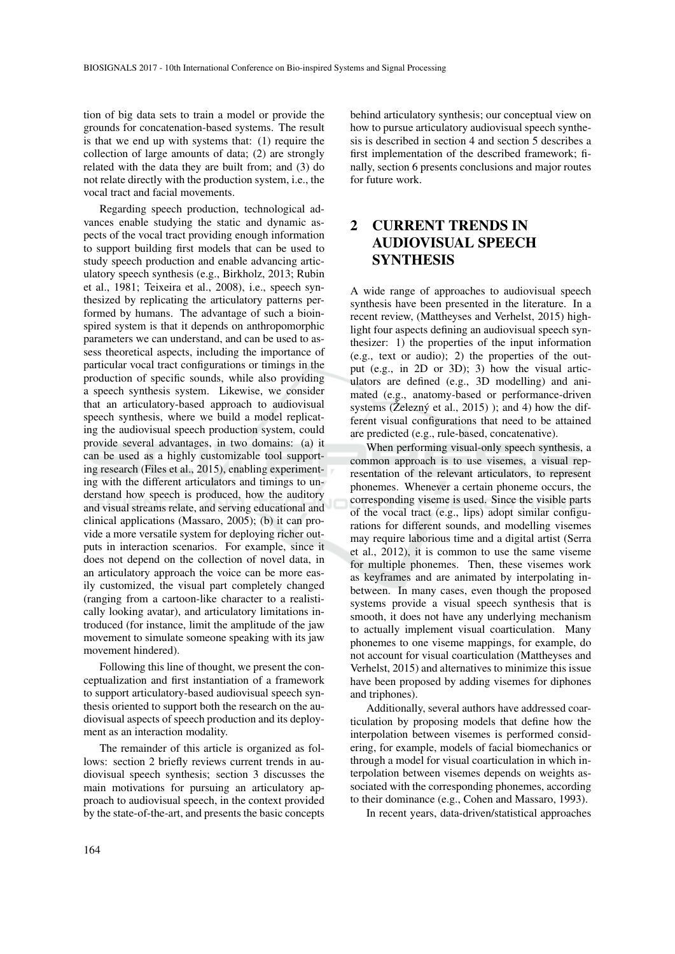tion of big data sets to train a model or provide the grounds for concatenation-based systems. The result is that we end up with systems that: (1) require the collection of large amounts of data; (2) are strongly related with the data they are built from; and (3) do not relate directly with the production system, i.e., the vocal tract and facial movements.

Regarding speech production, technological advances enable studying the static and dynamic aspects of the vocal tract providing enough information to support building first models that can be used to study speech production and enable advancing articulatory speech synthesis (e.g., Birkholz, 2013; Rubin et al., 1981; Teixeira et al., 2008), i.e., speech synthesized by replicating the articulatory patterns performed by humans. The advantage of such a bioinspired system is that it depends on anthropomorphic parameters we can understand, and can be used to assess theoretical aspects, including the importance of particular vocal tract configurations or timings in the production of specific sounds, while also providing a speech synthesis system. Likewise, we consider that an articulatory-based approach to audiovisual speech synthesis, where we build a model replicating the audiovisual speech production system, could provide several advantages, in two domains: (a) it can be used as a highly customizable tool supporting research (Files et al., 2015), enabling experimenting with the different articulators and timings to understand how speech is produced, how the auditory and visual streams relate, and serving educational and clinical applications (Massaro, 2005); (b) it can provide a more versatile system for deploying richer outputs in interaction scenarios. For example, since it does not depend on the collection of novel data, in an articulatory approach the voice can be more easily customized, the visual part completely changed (ranging from a cartoon-like character to a realistically looking avatar), and articulatory limitations introduced (for instance, limit the amplitude of the jaw movement to simulate someone speaking with its jaw movement hindered).

Following this line of thought, we present the conceptualization and first instantiation of a framework to support articulatory-based audiovisual speech synthesis oriented to support both the research on the audiovisual aspects of speech production and its deployment as an interaction modality.

The remainder of this article is organized as follows: section 2 briefly reviews current trends in audiovisual speech synthesis; section 3 discusses the main motivations for pursuing an articulatory approach to audiovisual speech, in the context provided by the state-of-the-art, and presents the basic concepts

behind articulatory synthesis; our conceptual view on how to pursue articulatory audiovisual speech synthesis is described in section 4 and section 5 describes a first implementation of the described framework; finally, section 6 presents conclusions and major routes for future work.

# 2 CURRENT TRENDS IN AUDIOVISUAL SPEECH **SYNTHESIS**

A wide range of approaches to audiovisual speech synthesis have been presented in the literature. In a recent review, (Mattheyses and Verhelst, 2015) highlight four aspects defining an audiovisual speech synthesizer: 1) the properties of the input information (e.g., text or audio); 2) the properties of the output (e.g., in 2D or 3D); 3) how the visual articulators are defined (e.g., 3D modelling) and animated (e.g., anatomy-based or performance-driven systems ( $\check{Z}$ elezný et al., 2015) ); and 4) how the different visual configurations that need to be attained are predicted (e.g., rule-based, concatenative).

When performing visual-only speech synthesis, a common approach is to use visemes, a visual representation of the relevant articulators, to represent phonemes. Whenever a certain phoneme occurs, the corresponding viseme is used. Since the visible parts of the vocal tract (e.g., lips) adopt similar configurations for different sounds, and modelling visemes may require laborious time and a digital artist (Serra et al., 2012), it is common to use the same viseme for multiple phonemes. Then, these visemes work as keyframes and are animated by interpolating inbetween. In many cases, even though the proposed systems provide a visual speech synthesis that is smooth, it does not have any underlying mechanism to actually implement visual coarticulation. Many phonemes to one viseme mappings, for example, do not account for visual coarticulation (Mattheyses and Verhelst, 2015) and alternatives to minimize this issue have been proposed by adding visemes for diphones and triphones).

Additionally, several authors have addressed coarticulation by proposing models that define how the interpolation between visemes is performed considering, for example, models of facial biomechanics or through a model for visual coarticulation in which interpolation between visemes depends on weights associated with the corresponding phonemes, according to their dominance (e.g., Cohen and Massaro, 1993).

In recent years, data-driven/statistical approaches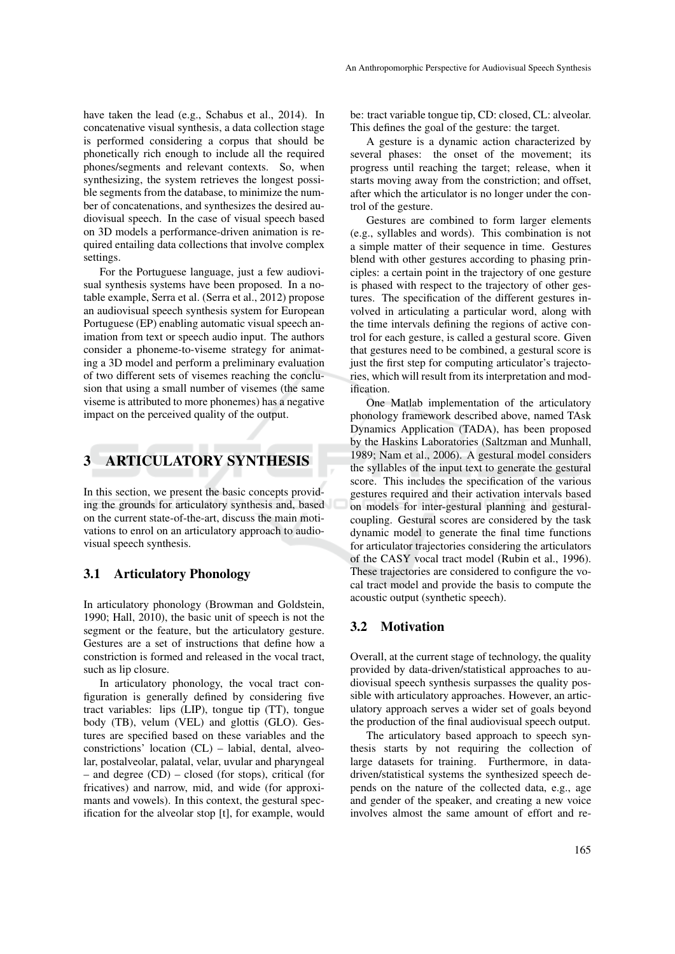have taken the lead (e.g., Schabus et al., 2014). In concatenative visual synthesis, a data collection stage is performed considering a corpus that should be phonetically rich enough to include all the required phones/segments and relevant contexts. So, when synthesizing, the system retrieves the longest possible segments from the database, to minimize the number of concatenations, and synthesizes the desired audiovisual speech. In the case of visual speech based on 3D models a performance-driven animation is required entailing data collections that involve complex settings.

For the Portuguese language, just a few audiovisual synthesis systems have been proposed. In a notable example, Serra et al. (Serra et al., 2012) propose an audiovisual speech synthesis system for European Portuguese (EP) enabling automatic visual speech animation from text or speech audio input. The authors consider a phoneme-to-viseme strategy for animating a 3D model and perform a preliminary evaluation of two different sets of visemes reaching the conclusion that using a small number of visemes (the same viseme is attributed to more phonemes) has a negative impact on the perceived quality of the output.

# 3 ARTICULATORY SYNTHESIS

In this section, we present the basic concepts providing the grounds for articulatory synthesis and, based on the current state-of-the-art, discuss the main motivations to enrol on an articulatory approach to audiovisual speech synthesis.

## 3.1 Articulatory Phonology

In articulatory phonology (Browman and Goldstein, 1990; Hall, 2010), the basic unit of speech is not the segment or the feature, but the articulatory gesture. Gestures are a set of instructions that define how a constriction is formed and released in the vocal tract, such as lip closure.

In articulatory phonology, the vocal tract configuration is generally defined by considering five tract variables: lips (LIP), tongue tip (TT), tongue body (TB), velum (VEL) and glottis (GLO). Gestures are specified based on these variables and the constrictions' location (CL) – labial, dental, alveolar, postalveolar, palatal, velar, uvular and pharyngeal – and degree (CD) – closed (for stops), critical (for fricatives) and narrow, mid, and wide (for approximants and vowels). In this context, the gestural specification for the alveolar stop [t], for example, would

be: tract variable tongue tip, CD: closed, CL: alveolar. This defines the goal of the gesture: the target.

A gesture is a dynamic action characterized by several phases: the onset of the movement; its progress until reaching the target; release, when it starts moving away from the constriction; and offset, after which the articulator is no longer under the control of the gesture.

Gestures are combined to form larger elements (e.g., syllables and words). This combination is not a simple matter of their sequence in time. Gestures blend with other gestures according to phasing principles: a certain point in the trajectory of one gesture is phased with respect to the trajectory of other gestures. The specification of the different gestures involved in articulating a particular word, along with the time intervals defining the regions of active control for each gesture, is called a gestural score. Given that gestures need to be combined, a gestural score is just the first step for computing articulator's trajectories, which will result from its interpretation and modification.

One Matlab implementation of the articulatory phonology framework described above, named TAsk Dynamics Application (TADA), has been proposed by the Haskins Laboratories (Saltzman and Munhall, 1989; Nam et al., 2006). A gestural model considers the syllables of the input text to generate the gestural score. This includes the specification of the various gestures required and their activation intervals based on models for inter-gestural planning and gesturalcoupling. Gestural scores are considered by the task dynamic model to generate the final time functions for articulator trajectories considering the articulators of the CASY vocal tract model (Rubin et al., 1996). These trajectories are considered to configure the vocal tract model and provide the basis to compute the acoustic output (synthetic speech).

## 3.2 Motivation

Overall, at the current stage of technology, the quality provided by data-driven/statistical approaches to audiovisual speech synthesis surpasses the quality possible with articulatory approaches. However, an articulatory approach serves a wider set of goals beyond the production of the final audiovisual speech output.

The articulatory based approach to speech synthesis starts by not requiring the collection of large datasets for training. Furthermore, in datadriven/statistical systems the synthesized speech depends on the nature of the collected data, e.g., age and gender of the speaker, and creating a new voice involves almost the same amount of effort and re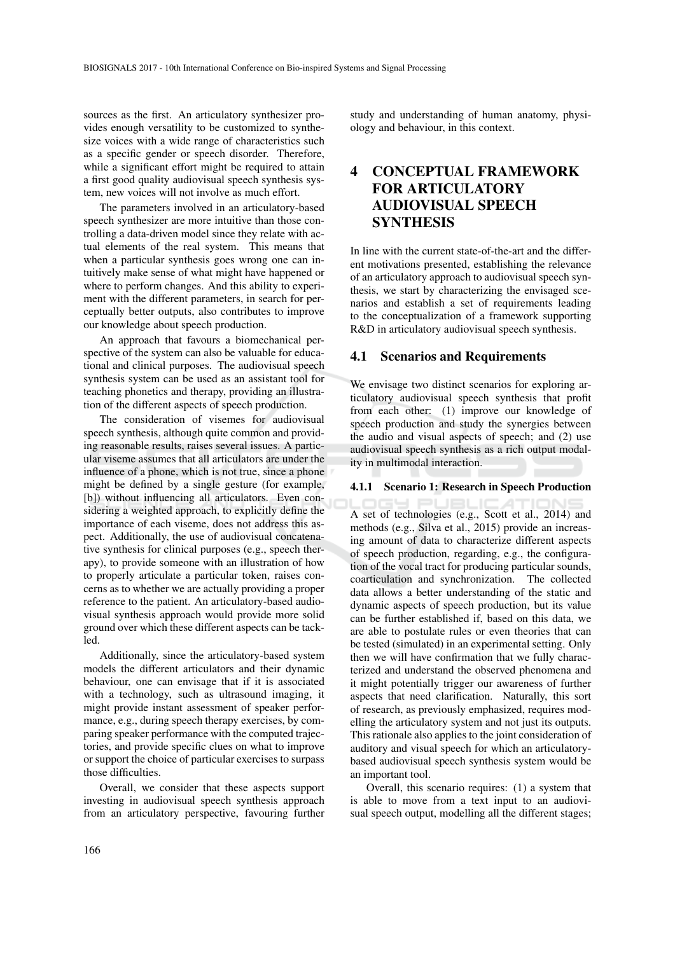sources as the first. An articulatory synthesizer provides enough versatility to be customized to synthesize voices with a wide range of characteristics such as a specific gender or speech disorder. Therefore, while a significant effort might be required to attain a first good quality audiovisual speech synthesis system, new voices will not involve as much effort.

The parameters involved in an articulatory-based speech synthesizer are more intuitive than those controlling a data-driven model since they relate with actual elements of the real system. This means that when a particular synthesis goes wrong one can intuitively make sense of what might have happened or where to perform changes. And this ability to experiment with the different parameters, in search for perceptually better outputs, also contributes to improve our knowledge about speech production.

An approach that favours a biomechanical perspective of the system can also be valuable for educational and clinical purposes. The audiovisual speech synthesis system can be used as an assistant tool for teaching phonetics and therapy, providing an illustration of the different aspects of speech production.

The consideration of visemes for audiovisual speech synthesis, although quite common and providing reasonable results, raises several issues. A particular viseme assumes that all articulators are under the influence of a phone, which is not true, since a phone might be defined by a single gesture (for example, [b]) without influencing all articulators. Even considering a weighted approach, to explicitly define the importance of each viseme, does not address this aspect. Additionally, the use of audiovisual concatenative synthesis for clinical purposes (e.g., speech therapy), to provide someone with an illustration of how to properly articulate a particular token, raises concerns as to whether we are actually providing a proper reference to the patient. An articulatory-based audiovisual synthesis approach would provide more solid ground over which these different aspects can be tackled.

Additionally, since the articulatory-based system models the different articulators and their dynamic behaviour, one can envisage that if it is associated with a technology, such as ultrasound imaging, it might provide instant assessment of speaker performance, e.g., during speech therapy exercises, by comparing speaker performance with the computed trajectories, and provide specific clues on what to improve or support the choice of particular exercises to surpass those difficulties.

Overall, we consider that these aspects support investing in audiovisual speech synthesis approach from an articulatory perspective, favouring further

study and understanding of human anatomy, physiology and behaviour, in this context.

# 4 CONCEPTUAL FRAMEWORK FOR ARTICULATORY AUDIOVISUAL SPEECH **SYNTHESIS**

In line with the current state-of-the-art and the different motivations presented, establishing the relevance of an articulatory approach to audiovisual speech synthesis, we start by characterizing the envisaged scenarios and establish a set of requirements leading to the conceptualization of a framework supporting R&D in articulatory audiovisual speech synthesis.

### 4.1 Scenarios and Requirements

We envisage two distinct scenarios for exploring articulatory audiovisual speech synthesis that profit from each other: (1) improve our knowledge of speech production and study the synergies between the audio and visual aspects of speech; and (2) use audiovisual speech synthesis as a rich output modality in multimodal interaction.

#### 4.1.1 Scenario 1: Research in Speech Production

A set of technologies (e.g., Scott et al., 2014) and methods (e.g., Silva et al., 2015) provide an increasing amount of data to characterize different aspects of speech production, regarding, e.g., the configuration of the vocal tract for producing particular sounds, coarticulation and synchronization. The collected data allows a better understanding of the static and dynamic aspects of speech production, but its value can be further established if, based on this data, we are able to postulate rules or even theories that can be tested (simulated) in an experimental setting. Only then we will have confirmation that we fully characterized and understand the observed phenomena and it might potentially trigger our awareness of further aspects that need clarification. Naturally, this sort of research, as previously emphasized, requires modelling the articulatory system and not just its outputs. This rationale also applies to the joint consideration of auditory and visual speech for which an articulatorybased audiovisual speech synthesis system would be an important tool.

Overall, this scenario requires: (1) a system that is able to move from a text input to an audiovisual speech output, modelling all the different stages;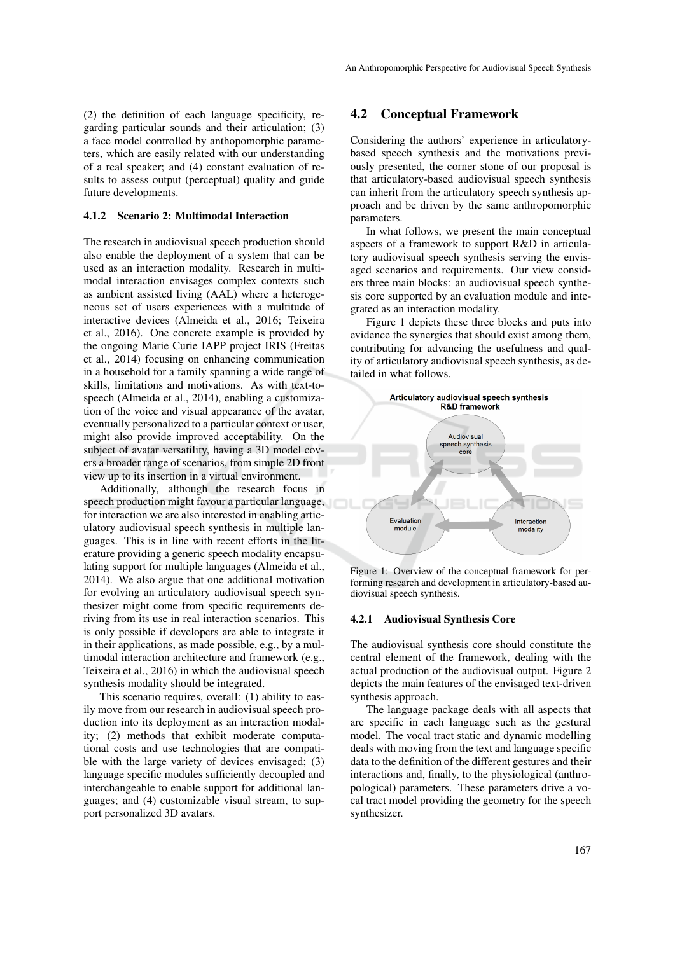(2) the definition of each language specificity, regarding particular sounds and their articulation; (3) a face model controlled by anthopomorphic parameters, which are easily related with our understanding of a real speaker; and (4) constant evaluation of results to assess output (perceptual) quality and guide future developments.

#### 4.1.2 Scenario 2: Multimodal Interaction

The research in audiovisual speech production should also enable the deployment of a system that can be used as an interaction modality. Research in multimodal interaction envisages complex contexts such as ambient assisted living (AAL) where a heterogeneous set of users experiences with a multitude of interactive devices (Almeida et al., 2016; Teixeira et al., 2016). One concrete example is provided by the ongoing Marie Curie IAPP project IRIS (Freitas et al., 2014) focusing on enhancing communication in a household for a family spanning a wide range of skills, limitations and motivations. As with text-tospeech (Almeida et al., 2014), enabling a customization of the voice and visual appearance of the avatar, eventually personalized to a particular context or user, might also provide improved acceptability. On the subject of avatar versatility, having a 3D model covers a broader range of scenarios, from simple 2D front view up to its insertion in a virtual environment.

Additionally, although the research focus in speech production might favour a particular language, for interaction we are also interested in enabling articulatory audiovisual speech synthesis in multiple languages. This is in line with recent efforts in the literature providing a generic speech modality encapsulating support for multiple languages (Almeida et al., 2014). We also argue that one additional motivation for evolving an articulatory audiovisual speech synthesizer might come from specific requirements deriving from its use in real interaction scenarios. This is only possible if developers are able to integrate it in their applications, as made possible, e.g., by a multimodal interaction architecture and framework (e.g., Teixeira et al., 2016) in which the audiovisual speech synthesis modality should be integrated.

This scenario requires, overall: (1) ability to easily move from our research in audiovisual speech production into its deployment as an interaction modality; (2) methods that exhibit moderate computational costs and use technologies that are compatible with the large variety of devices envisaged; (3) language specific modules sufficiently decoupled and interchangeable to enable support for additional languages; and (4) customizable visual stream, to support personalized 3D avatars.

### 4.2 Conceptual Framework

Considering the authors' experience in articulatorybased speech synthesis and the motivations previously presented, the corner stone of our proposal is that articulatory-based audiovisual speech synthesis can inherit from the articulatory speech synthesis approach and be driven by the same anthropomorphic parameters.

In what follows, we present the main conceptual aspects of a framework to support R&D in articulatory audiovisual speech synthesis serving the envisaged scenarios and requirements. Our view considers three main blocks: an audiovisual speech synthesis core supported by an evaluation module and integrated as an interaction modality.

Figure 1 depicts these three blocks and puts into evidence the synergies that should exist among them, contributing for advancing the usefulness and quality of articulatory audiovisual speech synthesis, as detailed in what follows.



Figure 1: Overview of the conceptual framework for performing research and development in articulatory-based audiovisual speech synthesis.

#### 4.2.1 Audiovisual Synthesis Core

The audiovisual synthesis core should constitute the central element of the framework, dealing with the actual production of the audiovisual output. Figure 2 depicts the main features of the envisaged text-driven synthesis approach.

The language package deals with all aspects that are specific in each language such as the gestural model. The vocal tract static and dynamic modelling deals with moving from the text and language specific data to the definition of the different gestures and their interactions and, finally, to the physiological (anthropological) parameters. These parameters drive a vocal tract model providing the geometry for the speech synthesizer.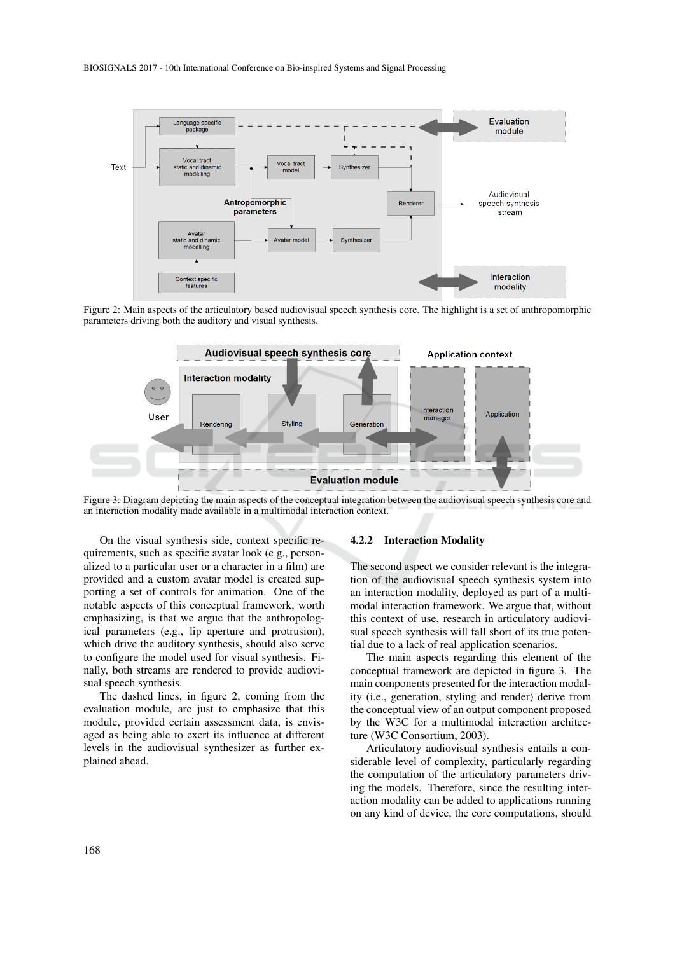

Figure 2: Main aspects of the articulatory based audiovisual speech synthesis core. The highlight is a set of anthropomorphic parameters driving both the auditory and visual synthesis.



Figure 3: Diagram depicting the main aspects of the conceptual integration between the audiovisual speech synthesis core and an interaction modality made available in a multimodal interaction context.

On the visual synthesis side, context specific requirements, such as specific avatar look (e.g., personalized to a particular user or a character in a film) are provided and a custom avatar model is created supporting a set of controls for animation. One of the notable aspects of this conceptual framework, worth emphasizing, is that we argue that the anthropological parameters (e.g., lip aperture and protrusion), which drive the auditory synthesis, should also serve to configure the model used for visual synthesis. Finally, both streams are rendered to provide audiovisual speech synthesis.

The dashed lines, in figure 2, coming from the evaluation module, are just to emphasize that this module, provided certain assessment data, is envisaged as being able to exert its influence at different levels in the audiovisual synthesizer as further explained ahead.

#### 4.2.2 Interaction Modality

The second aspect we consider relevant is the integration of the audiovisual speech synthesis system into an interaction modality, deployed as part of a multimodal interaction framework. We argue that, without this context of use, research in articulatory audiovisual speech synthesis will fall short of its true potential due to a lack of real application scenarios.

The main aspects regarding this element of the conceptual framework are depicted in figure 3. The main components presented for the interaction modality (i.e., generation, styling and render) derive from the conceptual view of an output component proposed by the W3C for a multimodal interaction architecture (W3C Consortium, 2003).

Articulatory audiovisual synthesis entails a considerable level of complexity, particularly regarding the computation of the articulatory parameters driving the models. Therefore, since the resulting interaction modality can be added to applications running on any kind of device, the core computations, should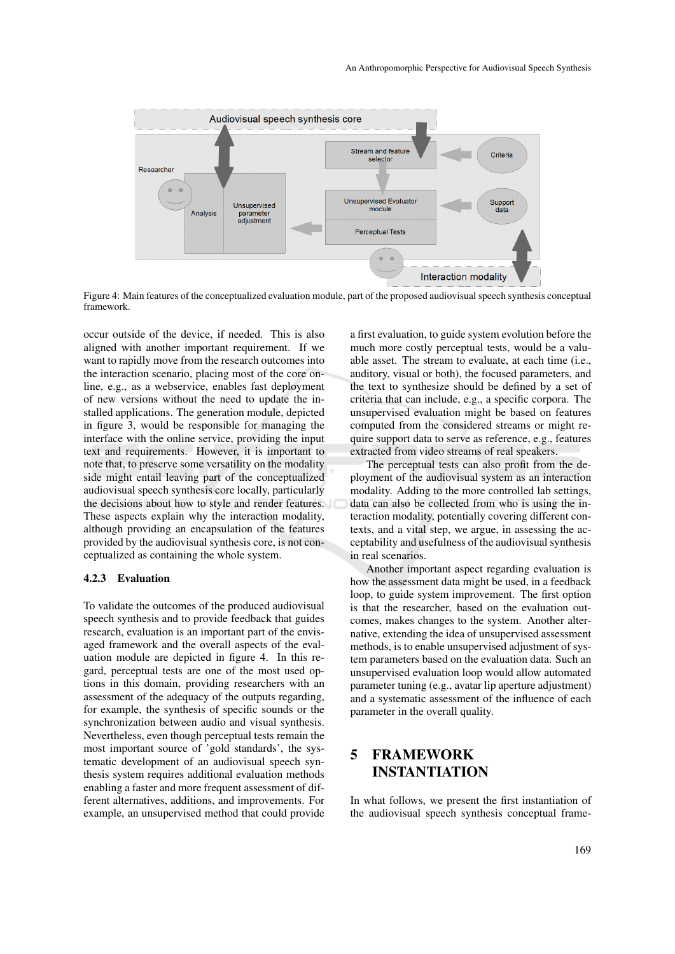

Figure 4: Main features of the conceptualized evaluation module, part of the proposed audiovisual speech synthesis conceptual framework.

occur outside of the device, if needed. This is also aligned with another important requirement. If we want to rapidly move from the research outcomes into the interaction scenario, placing most of the core online, e.g., as a webservice, enables fast deployment of new versions without the need to update the installed applications. The generation module, depicted in figure 3, would be responsible for managing the interface with the online service, providing the input text and requirements. However, it is important to note that, to preserve some versatility on the modality side might entail leaving part of the conceptualized audiovisual speech synthesis core locally, particularly the decisions about how to style and render features. These aspects explain why the interaction modality, although providing an encapsulation of the features provided by the audiovisual synthesis core, is not conceptualized as containing the whole system.

### 4.2.3 Evaluation

To validate the outcomes of the produced audiovisual speech synthesis and to provide feedback that guides research, evaluation is an important part of the envisaged framework and the overall aspects of the evaluation module are depicted in figure 4. In this regard, perceptual tests are one of the most used options in this domain, providing researchers with an assessment of the adequacy of the outputs regarding, for example, the synthesis of specific sounds or the synchronization between audio and visual synthesis. Nevertheless, even though perceptual tests remain the most important source of 'gold standards', the systematic development of an audiovisual speech synthesis system requires additional evaluation methods enabling a faster and more frequent assessment of different alternatives, additions, and improvements. For example, an unsupervised method that could provide

a first evaluation, to guide system evolution before the much more costly perceptual tests, would be a valuable asset. The stream to evaluate, at each time (i.e., auditory, visual or both), the focused parameters, and the text to synthesize should be defined by a set of criteria that can include, e.g., a specific corpora. The unsupervised evaluation might be based on features computed from the considered streams or might require support data to serve as reference, e.g., features extracted from video streams of real speakers.

The perceptual tests can also profit from the deployment of the audiovisual system as an interaction modality. Adding to the more controlled lab settings, data can also be collected from who is using the interaction modality, potentially covering different contexts, and a vital step, we argue, in assessing the acceptability and usefulness of the audiovisual synthesis in real scenarios.

Another important aspect regarding evaluation is how the assessment data might be used, in a feedback loop, to guide system improvement. The first option is that the researcher, based on the evaluation outcomes, makes changes to the system. Another alternative, extending the idea of unsupervised assessment methods, is to enable unsupervised adjustment of system parameters based on the evaluation data. Such an unsupervised evaluation loop would allow automated parameter tuning (e.g., avatar lip aperture adjustment) and a systematic assessment of the influence of each parameter in the overall quality.

# 5 FRAMEWORK INSTANTIATION

In what follows, we present the first instantiation of the audiovisual speech synthesis conceptual frame-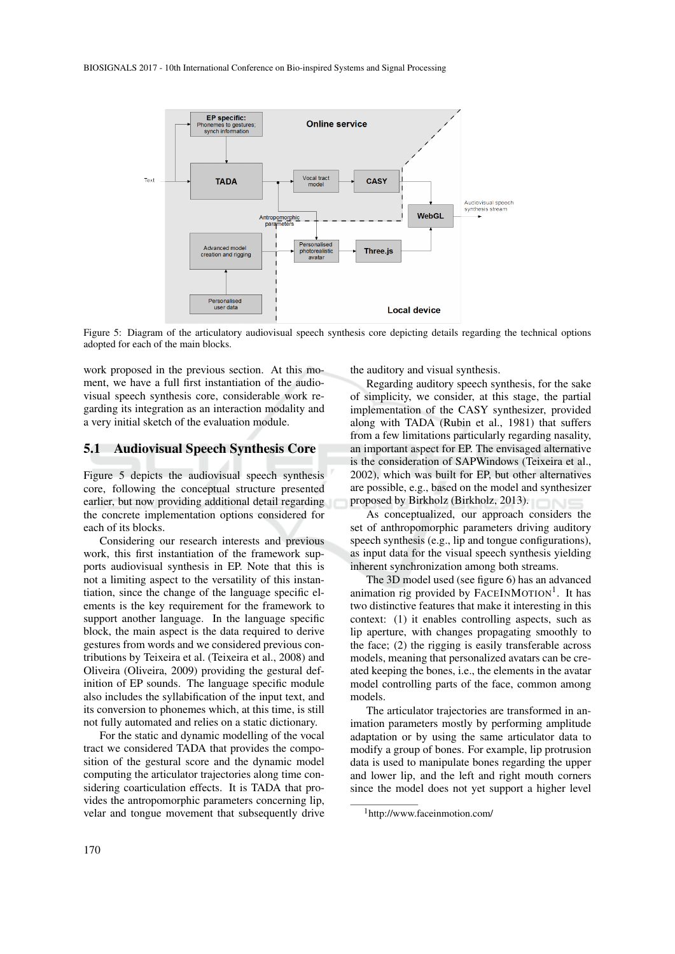

Figure 5: Diagram of the articulatory audiovisual speech synthesis core depicting details regarding the technical options adopted for each of the main blocks.

work proposed in the previous section. At this moment, we have a full first instantiation of the audiovisual speech synthesis core, considerable work regarding its integration as an interaction modality and a very initial sketch of the evaluation module.

### 5.1 Audiovisual Speech Synthesis Core

Figure 5 depicts the audiovisual speech synthesis core, following the conceptual structure presented earlier, but now providing additional detail regarding the concrete implementation options considered for each of its blocks.

Considering our research interests and previous work, this first instantiation of the framework supports audiovisual synthesis in EP. Note that this is not a limiting aspect to the versatility of this instantiation, since the change of the language specific elements is the key requirement for the framework to support another language. In the language specific block, the main aspect is the data required to derive gestures from words and we considered previous contributions by Teixeira et al. (Teixeira et al., 2008) and Oliveira (Oliveira, 2009) providing the gestural definition of EP sounds. The language specific module also includes the syllabification of the input text, and its conversion to phonemes which, at this time, is still not fully automated and relies on a static dictionary.

For the static and dynamic modelling of the vocal tract we considered TADA that provides the composition of the gestural score and the dynamic model computing the articulator trajectories along time considering coarticulation effects. It is TADA that provides the antropomorphic parameters concerning lip, velar and tongue movement that subsequently drive the auditory and visual synthesis.

Regarding auditory speech synthesis, for the sake of simplicity, we consider, at this stage, the partial implementation of the CASY synthesizer, provided along with TADA (Rubin et al., 1981) that suffers from a few limitations particularly regarding nasality, an important aspect for EP. The envisaged alternative is the consideration of SAPWindows (Teixeira et al., 2002), which was built for EP, but other alternatives are possible, e.g., based on the model and synthesizer proposed by Birkholz (Birkholz, 2013).

As conceptualized, our approach considers the set of anthropomorphic parameters driving auditory speech synthesis (e.g., lip and tongue configurations). as input data for the visual speech synthesis yielding inherent synchronization among both streams.

The 3D model used (see figure 6) has an advanced animation rig provided by FACEINMOTION<sup>1</sup>. It has two distinctive features that make it interesting in this context: (1) it enables controlling aspects, such as lip aperture, with changes propagating smoothly to the face; (2) the rigging is easily transferable across models, meaning that personalized avatars can be created keeping the bones, i.e., the elements in the avatar model controlling parts of the face, common among models.

The articulator trajectories are transformed in animation parameters mostly by performing amplitude adaptation or by using the same articulator data to modify a group of bones. For example, lip protrusion data is used to manipulate bones regarding the upper and lower lip, and the left and right mouth corners since the model does not yet support a higher level

<sup>1</sup>http://www.faceinmotion.com/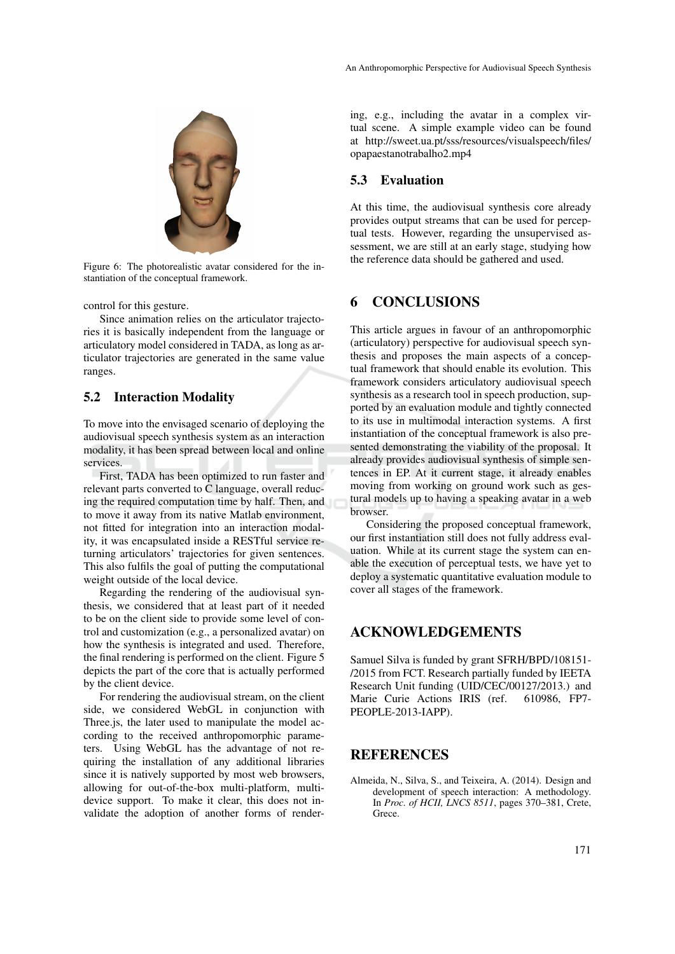

Figure 6: The photorealistic avatar considered for the instantiation of the conceptual framework.

control for this gesture.

Since animation relies on the articulator trajectories it is basically independent from the language or articulatory model considered in TADA, as long as articulator trajectories are generated in the same value ranges.

## 5.2 Interaction Modality

To move into the envisaged scenario of deploying the audiovisual speech synthesis system as an interaction modality, it has been spread between local and online services.

First, TADA has been optimized to run faster and relevant parts converted to C language, overall reducing the required computation time by half. Then, and to move it away from its native Matlab environment, not fitted for integration into an interaction modality, it was encapsulated inside a RESTful service returning articulators' trajectories for given sentences. This also fulfils the goal of putting the computational weight outside of the local device.

Regarding the rendering of the audiovisual synthesis, we considered that at least part of it needed to be on the client side to provide some level of control and customization (e.g., a personalized avatar) on how the synthesis is integrated and used. Therefore, the final rendering is performed on the client. Figure 5 depicts the part of the core that is actually performed by the client device.

For rendering the audiovisual stream, on the client side, we considered WebGL in conjunction with Three.js, the later used to manipulate the model according to the received anthropomorphic parameters. Using WebGL has the advantage of not requiring the installation of any additional libraries since it is natively supported by most web browsers, allowing for out-of-the-box multi-platform, multidevice support. To make it clear, this does not invalidate the adoption of another forms of rendering, e.g., including the avatar in a complex virtual scene. A simple example video can be found at http://sweet.ua.pt/sss/resources/visualspeech/files/ opapaestanotrabalho2.mp4

## 5.3 Evaluation

At this time, the audiovisual synthesis core already provides output streams that can be used for perceptual tests. However, regarding the unsupervised assessment, we are still at an early stage, studying how the reference data should be gathered and used.

## 6 CONCLUSIONS

This article argues in favour of an anthropomorphic (articulatory) perspective for audiovisual speech synthesis and proposes the main aspects of a conceptual framework that should enable its evolution. This framework considers articulatory audiovisual speech synthesis as a research tool in speech production, supported by an evaluation module and tightly connected to its use in multimodal interaction systems. A first instantiation of the conceptual framework is also presented demonstrating the viability of the proposal. It already provides audiovisual synthesis of simple sentences in EP. At it current stage, it already enables moving from working on ground work such as gestural models up to having a speaking avatar in a web browser.

Considering the proposed conceptual framework, our first instantiation still does not fully address evaluation. While at its current stage the system can enable the execution of perceptual tests, we have yet to deploy a systematic quantitative evaluation module to cover all stages of the framework.

## ACKNOWLEDGEMENTS

Samuel Silva is funded by grant SFRH/BPD/108151- /2015 from FCT. Research partially funded by IEETA Research Unit funding (UID/CEC/00127/2013.) and Marie Curie Actions IRIS (ref. 610986, FP7- PEOPLE-2013-IAPP).

# **REFERENCES**

Almeida, N., Silva, S., and Teixeira, A. (2014). Design and development of speech interaction: A methodology. In *Proc. of HCII, LNCS 8511*, pages 370–381, Crete, Grece.